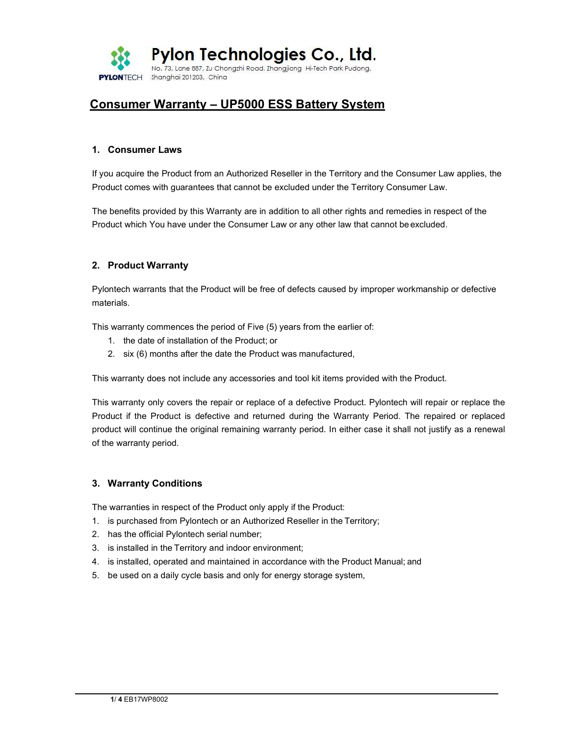

# Consumer Warranty – UP5000 ESS Battery System

#### 1. Consumer Laws

If you acquire the Product from an Authorized Reseller in the Territory and the Consumer Law applies, the Product comes with guarantees that cannot be excluded under the Territory Consumer Law.

The benefits provided by this Warranty are in addition to all other rights and remedies in respect of the Product which You have under the Consumer Law or any other law that cannot be excluded.

#### 2. Product Warranty

Pylontech warrants that the Product will be free of defects caused by improper workmanship or defective materials.

This warranty commences the period of Five (5) years from the earlier of:

- 1. the date of installation of the Product; or
- 2. six (6) months after the date the Product was manufactured,

This warranty does not include any accessories and tool kit items provided with the Product.

This warranty only covers the repair or replace of a defective Product. Pylontech will repair or replace the Product if the Product is defective and returned during the Warranty Period. The repaired or replaced product will continue the original remaining warranty period. In either case it shall not justify as a renewal of the warranty period.

#### 3. Warranty Conditions

The warranties in respect of the Product only apply if the Product:

- 1. is purchased from Pylontech or an Authorized Reseller in the Territory;
- 2. has the official Pylontech serial number;
- 3. is installed in the Territory and indoor environment;
- 4. is installed, operated and maintained in accordance with the Product Manual; and
- 5. be used on a daily cycle basis and only for energy storage system,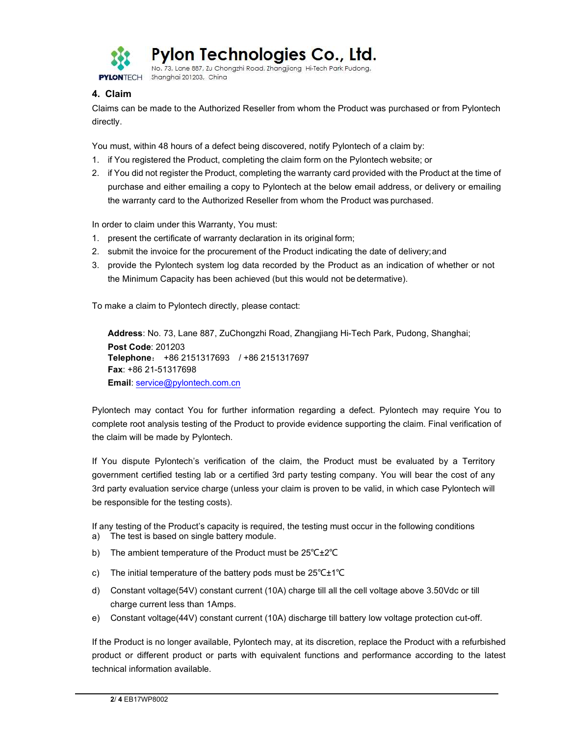

Pylon Technologies Co., Ltd.

No. 73, Lane 887, Zu Chongzhi Road, Zhangjiang Hi-Tech Park Pudong, Shanahai 201203, China **PYLONTECH** 

## 4. Claim

Claims can be made to the Authorized Reseller from whom the Product was purchased or from Pylontech directly.

You must, within 48 hours of a defect being discovered, notify Pylontech of a claim by:

- 1. if You registered the Product, completing the claim form on the Pylontech website; or
- 2. if You did not register the Product, completing the warranty card provided with the Product at the time of purchase and either emailing a copy to Pylontech at the below email address, or delivery or emailing the warranty card to the Authorized Reseller from whom the Product was purchased.

In order to claim under this Warranty, You must:

- 1. present the certificate of warranty declaration in its original form;
- 2. submit the invoice for the procurement of the Product indicating the date of delivery; and
- 3. provide the Pylontech system log data recorded by the Product as an indication of whether or not the Minimum Capacity has been achieved (but this would not be determative).

To make a claim to Pylontech directly, please contact:

Address: No. 73, Lane 887, ZuChongzhi Road, Zhangjiang Hi-Tech Park, Pudong, Shanghai; Post Code: 201203 Telephone: +86 2151317693 / +86 2151317697 Fax: +86 21-51317698 Email: service@pylontech.com.cn

Pylontech may contact You for further information regarding a defect. Pylontech may require You to complete root analysis testing of the Product to provide evidence supporting the claim. Final verification of the claim will be made by Pylontech.

If You dispute Pylontech's verification of the claim, the Product must be evaluated by a Territory government certified testing lab or a certified 3rd party testing company. You will bear the cost of any 3rd party evaluation service charge (unless your claim is proven to be valid, in which case Pylontech will be responsible for the testing costs).

If any testing of the Product's capacity is required, the testing must occur in the following conditions

- a) The test is based on single battery module.
- b) The ambient temperature of the Product must be 25℃±2℃
- c) The initial temperature of the battery pods must be 25℃±1℃
- d) Constant voltage(54V) constant current (10A) charge till all the cell voltage above 3.50Vdc or till charge current less than 1Amps.
- e) Constant voltage(44V) constant current (10A) discharge till battery low voltage protection cut-off.

If the Product is no longer available, Pylontech may, at its discretion, replace the Product with a refurbished product or different product or parts with equivalent functions and performance according to the latest technical information available.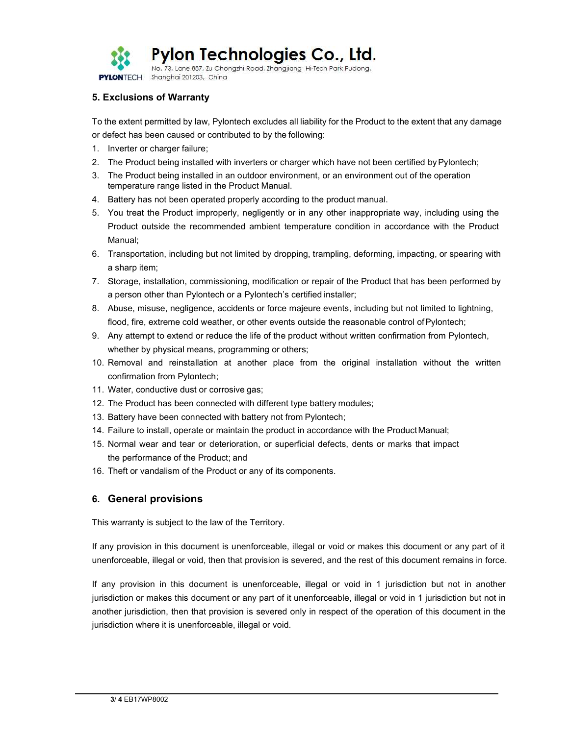

### 5. Exclusions of Warranty

To the extent permitted by law, Pylontech excludes all liability for the Product to the extent that any damage or defect has been caused or contributed to by the following:

- 1. Inverter or charger failure;
- 2. The Product being installed with inverters or charger which have not been certified by Pylontech;
- 3. The Product being installed in an outdoor environment, or an environment out of the operation temperature range listed in the Product Manual.
- 4. Battery has not been operated properly according to the product manual.
- 5. You treat the Product improperly, negligently or in any other inappropriate way, including using the Product outside the recommended ambient temperature condition in accordance with the Product Manual;
- 6. Transportation, including but not limited by dropping, trampling, deforming, impacting, or spearing with a sharp item;
- 7. Storage, installation, commissioning, modification or repair of the Product that has been performed by a person other than Pylontech or a Pylontech's certified installer;
- 8. Abuse, misuse, negligence, accidents or force majeure events, including but not limited to lightning, flood, fire, extreme cold weather, or other events outside the reasonable control of Pylontech;
- 9. Any attempt to extend or reduce the life of the product without written confirmation from Pylontech, whether by physical means, programming or others;
- 10. Removal and reinstallation at another place from the original installation without the written confirmation from Pylontech;
- 11. Water, conductive dust or corrosive gas;
- 12. The Product has been connected with different type battery modules;
- 13. Battery have been connected with battery not from Pylontech;
- 14. Failure to install, operate or maintain the product in accordance with the Product Manual;
- 15. Normal wear and tear or deterioration, or superficial defects, dents or marks that impact the performance of the Product; and
- 16. Theft or vandalism of the Product or any of its components.

#### 6. General provisions

This warranty is subject to the law of the Territory.

If any provision in this document is unenforceable, illegal or void or makes this document or any part of it unenforceable, illegal or void, then that provision is severed, and the rest of this document remains in force.

If any provision in this document is unenforceable, illegal or void in 1 jurisdiction but not in another jurisdiction or makes this document or any part of it unenforceable, illegal or void in 1 jurisdiction but not in another jurisdiction, then that provision is severed only in respect of the operation of this document in the jurisdiction where it is unenforceable, illegal or void.